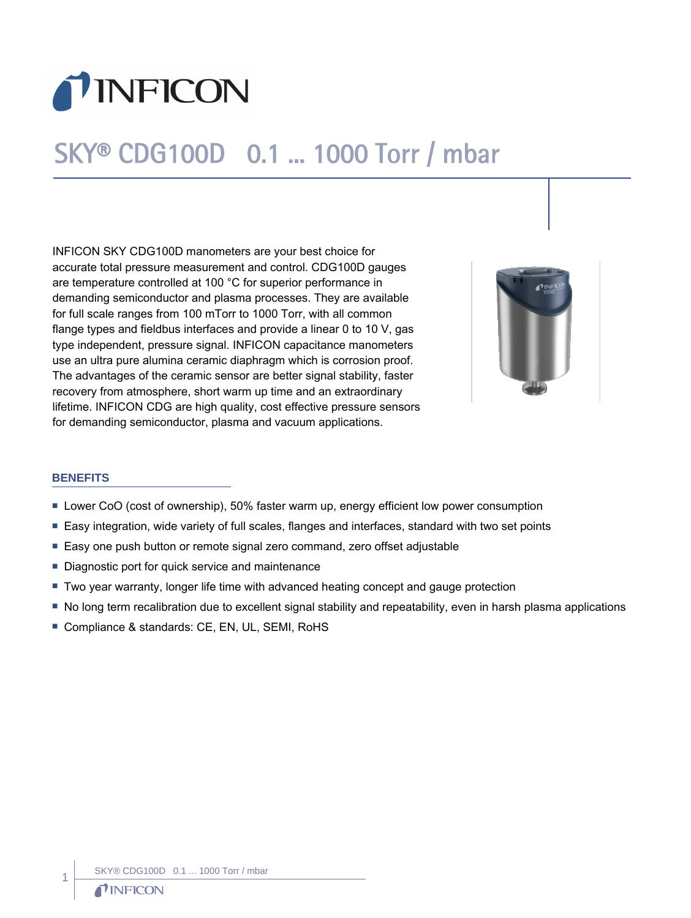

# SKY® CDG100D 0.1 ... 1000 Torr / mbar

INFICON SKY CDG100D manometers are your best choice for accurate total pressure measurement and control. CDG100D gauges are temperature controlled at 100 °C for superior performance in demanding semiconductor and plasma processes. They are available for full scale ranges from 100 mTorr to 1000 Torr, with all common flange types and fieldbus interfaces and provide a linear 0 to 10 V, gas type independent, pressure signal. INFICON capacitance manometers use an ultra pure alumina ceramic diaphragm which is corrosion proof. The advantages of the ceramic sensor are better signal stability, faster recovery from atmosphere, short warm up time and an extraordinary lifetime. INFICON CDG are high quality, cost effective pressure sensors for demanding semiconductor, plasma and vacuum applications.



## **BENEFITS**

- **Lower CoO (cost of ownership), 50% faster warm up, energy efficient low power consumption**
- Easy integration, wide variety of full scales, flanges and interfaces, standard with two set points
- Easy one push button or remote signal zero command, zero offset adjustable
- Diagnostic port for quick service and maintenance
- Two year warranty, longer life time with advanced heating concept and gauge protection
- No long term recalibration due to excellent signal stability and repeatability, even in harsh plasma applications
- Compliance & standards: CE, EN, UL, SEMI, RoHS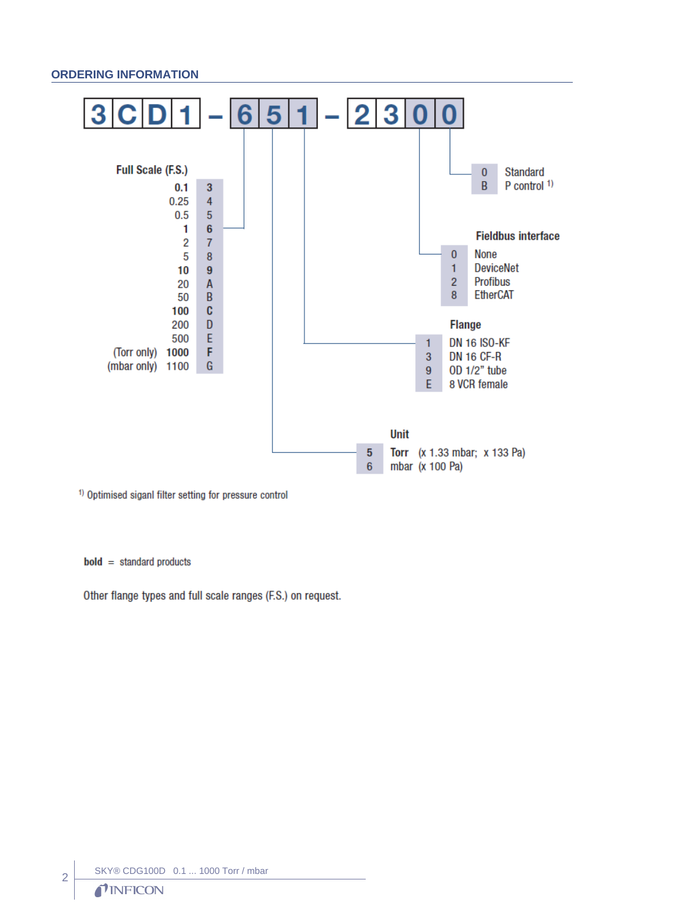#### **ORDERING INFORMATION**



<sup>1)</sup> Optimised siganl filter setting for pressure control

 $bold = standard products$ 

Other flange types and full scale ranges (F.S.) on request.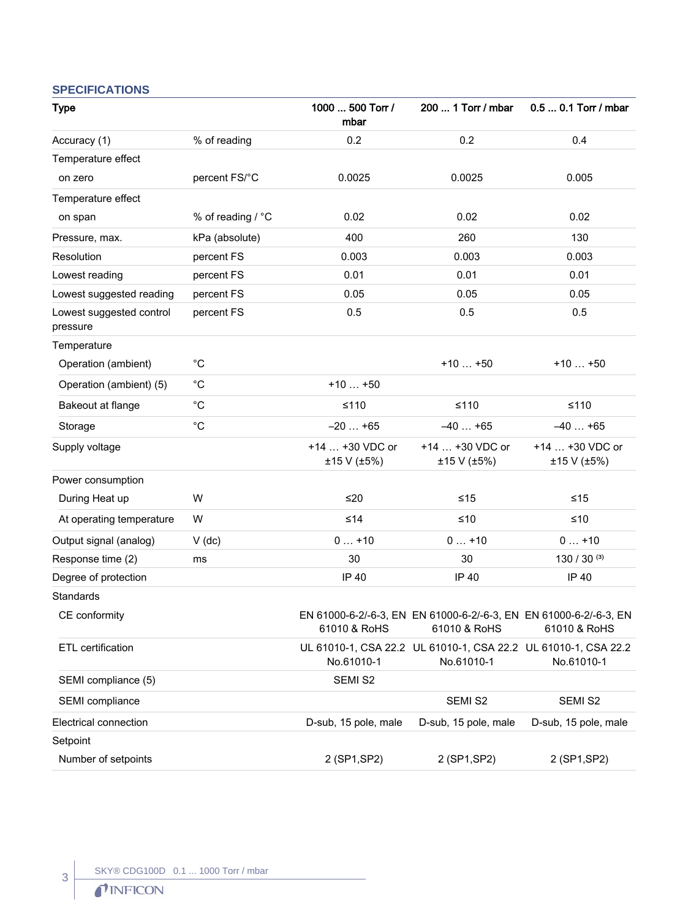# **SPECIFICATIONS**

| <b>Type</b>                          |                   | 1000  500 Torr /<br>mbar       | 200  1 Torr / mbar                                                                | 0.5  0.1 Torr / mbar           |
|--------------------------------------|-------------------|--------------------------------|-----------------------------------------------------------------------------------|--------------------------------|
| Accuracy (1)                         | % of reading      | 0.2                            | 0.2                                                                               | 0.4                            |
| Temperature effect                   |                   |                                |                                                                                   |                                |
| on zero                              | percent FS/°C     | 0.0025                         | 0.0025                                                                            | 0.005                          |
| Temperature effect                   |                   |                                |                                                                                   |                                |
| on span                              | % of reading / °C | 0.02                           | 0.02                                                                              | 0.02                           |
| Pressure, max.                       | kPa (absolute)    | 400                            | 260                                                                               | 130                            |
| Resolution                           | percent FS        | 0.003                          | 0.003                                                                             | 0.003                          |
| Lowest reading                       | percent FS        | 0.01                           | 0.01                                                                              | 0.01                           |
| Lowest suggested reading             | percent FS        | 0.05                           | 0.05                                                                              | 0.05                           |
| Lowest suggested control<br>pressure | percent FS        | 0.5                            | 0.5                                                                               | 0.5                            |
| Temperature                          |                   |                                |                                                                                   |                                |
| Operation (ambient)                  | $^{\circ}C$       |                                | $+10+50$                                                                          | $+10+50$                       |
| Operation (ambient) (5)              | $^{\circ}C$       | $+10+50$                       |                                                                                   |                                |
| Bakeout at flange                    | $^{\circ}C$       | $≤110$                         | $≤110$                                                                            | $≤110$                         |
| Storage                              | $^{\circ}C$       | $-20+65$                       | $-40+65$                                                                          | $-40+65$                       |
| Supply voltage                       |                   | +14  +30 VDC or<br>±15 V (±5%) | +14  +30 VDC or<br>±15 V (±5%)                                                    | +14  +30 VDC or<br>±15 V (±5%) |
| Power consumption                    |                   |                                |                                                                                   |                                |
| During Heat up                       | W                 | ≤20                            | $≤15$                                                                             | $≤15$                          |
| At operating temperature             | W                 | ≤14                            | $≤10$                                                                             | $≤10$                          |
| Output signal (analog)               | $V$ (dc)          | $0+10$                         | $0+10$                                                                            | $0+10$                         |
| Response time (2)                    | ms                | 30                             | 30                                                                                | 130 / 30 $(3)$                 |
| Degree of protection                 |                   | IP 40                          | IP 40                                                                             | IP 40                          |
| Standards                            |                   |                                |                                                                                   |                                |
| CE conformity                        |                   | 61010 & RoHS                   | EN 61000-6-2/-6-3, EN EN 61000-6-2/-6-3, EN EN 61000-6-2/-6-3, EN<br>61010 & RoHS | 61010 & RoHS                   |
| ETL certification                    |                   | No.61010-1                     | UL 61010-1, CSA 22.2 UL 61010-1, CSA 22.2 UL 61010-1, CSA 22.2<br>No.61010-1      | No.61010-1                     |
| SEMI compliance (5)                  |                   | SEMI S2                        |                                                                                   |                                |
| SEMI compliance                      |                   |                                | SEMI <sub>S2</sub>                                                                | SEMI S2                        |
| Electrical connection                |                   | D-sub, 15 pole, male           | D-sub, 15 pole, male                                                              | D-sub, 15 pole, male           |
| Setpoint                             |                   |                                |                                                                                   |                                |
| Number of setpoints                  |                   | 2 (SP1, SP2)                   | 2 (SP1, SP2)                                                                      | 2 (SP1, SP2)                   |

3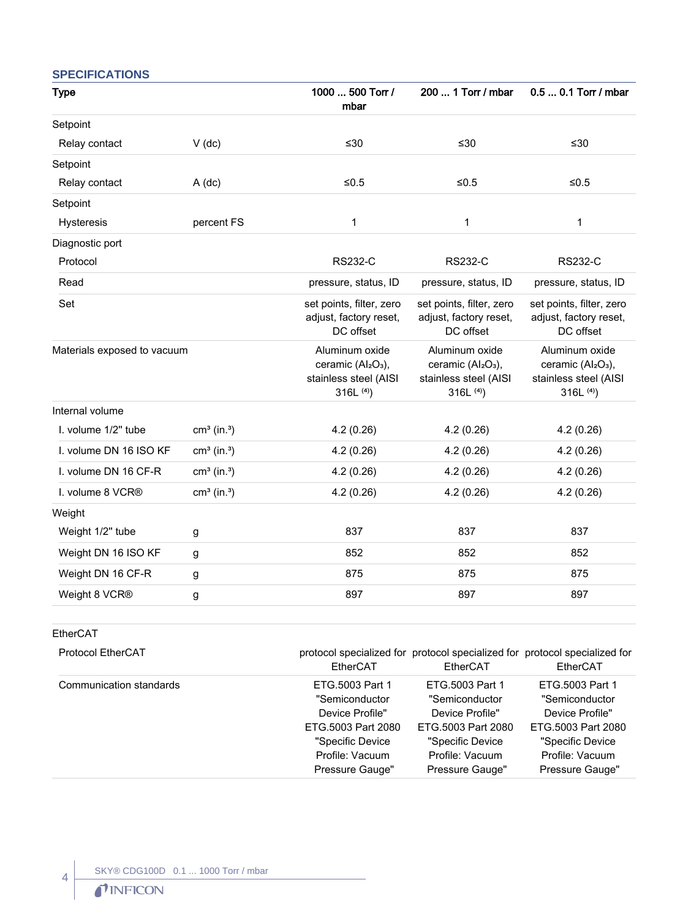# **SPECIFICATIONS**

| <b>Type</b>                 |                           | 1000  500 Torr /<br>mbar                                                                            | 200  1 Torr / mbar                                                                                  | 0.5  0.1 Torr / mbar                                                                                |
|-----------------------------|---------------------------|-----------------------------------------------------------------------------------------------------|-----------------------------------------------------------------------------------------------------|-----------------------------------------------------------------------------------------------------|
| Setpoint                    |                           |                                                                                                     |                                                                                                     |                                                                                                     |
| Relay contact               | $V$ (dc)                  | $≤30$                                                                                               | ≤30                                                                                                 | ≤30                                                                                                 |
| Setpoint                    |                           |                                                                                                     |                                                                                                     |                                                                                                     |
| Relay contact               | $A$ (dc)                  | ≤ $0.5$                                                                                             | ${\leq}0.5$                                                                                         | $≤0.5$                                                                                              |
| Setpoint                    |                           |                                                                                                     |                                                                                                     |                                                                                                     |
| Hysteresis                  | percent FS                | $\mathbf 1$                                                                                         | 1                                                                                                   | $\mathbf 1$                                                                                         |
| Diagnostic port             |                           |                                                                                                     |                                                                                                     |                                                                                                     |
| Protocol                    |                           | <b>RS232-C</b>                                                                                      | <b>RS232-C</b>                                                                                      | <b>RS232-C</b>                                                                                      |
| Read                        |                           | pressure, status, ID                                                                                | pressure, status, ID                                                                                | pressure, status, ID                                                                                |
| Set                         |                           | set points, filter, zero<br>adjust, factory reset,<br>DC offset                                     | set points, filter, zero<br>adjust, factory reset,<br>DC offset                                     | set points, filter, zero<br>adjust, factory reset,<br>DC offset                                     |
| Materials exposed to vacuum |                           | Aluminum oxide<br>ceramic (Al <sub>2</sub> O <sub>3</sub> ),<br>stainless steel (AISI<br>316L $(4)$ | Aluminum oxide<br>ceramic (Al <sub>2</sub> O <sub>3</sub> ),<br>stainless steel (AISI<br>316L $(4)$ | Aluminum oxide<br>ceramic (Al <sub>2</sub> O <sub>3</sub> ),<br>stainless steel (AISI<br>316L $(4)$ |
| Internal volume             |                           |                                                                                                     |                                                                                                     |                                                                                                     |
| I. volume 1/2" tube         | $cm3$ (in. <sup>3</sup> ) | 4.2(0.26)                                                                                           | 4.2(0.26)                                                                                           | 4.2(0.26)                                                                                           |
| I. volume DN 16 ISO KF      | $cm3$ (in. <sup>3</sup> ) | 4.2(0.26)                                                                                           | 4.2(0.26)                                                                                           | 4.2(0.26)                                                                                           |
| I. volume DN 16 CF-R        | $cm3$ (in. <sup>3</sup> ) | 4.2(0.26)                                                                                           | 4.2(0.26)                                                                                           | 4.2(0.26)                                                                                           |
| I. volume 8 VCR®            | $cm3$ (in. <sup>3</sup> ) | 4.2(0.26)                                                                                           | 4.2(0.26)                                                                                           | 4.2(0.26)                                                                                           |
| Weight                      |                           |                                                                                                     |                                                                                                     |                                                                                                     |
| Weight 1/2" tube            | g                         | 837                                                                                                 | 837                                                                                                 | 837                                                                                                 |
| Weight DN 16 ISO KF         | g                         | 852                                                                                                 | 852                                                                                                 | 852                                                                                                 |
| Weight DN 16 CF-R           | g                         | 875                                                                                                 | 875                                                                                                 | 875                                                                                                 |
| Weight 8 VCR®               | g                         | 897                                                                                                 | 897                                                                                                 | 897                                                                                                 |

EtherCAT

4

| <b>Protocol EtherCAT</b> | EtherCAT           | protocol specialized for protocol specialized for protocol specialized for<br>EtherCAT | EtherCAT           |
|--------------------------|--------------------|----------------------------------------------------------------------------------------|--------------------|
| Communication standards  | ETG.5003 Part 1    | ETG.5003 Part 1                                                                        | ETG.5003 Part 1    |
|                          | "Semiconductor     | "Semiconductor                                                                         | "Semiconductor     |
|                          | Device Profile"    | Device Profile"                                                                        | Device Profile"    |
|                          | ETG.5003 Part 2080 | ETG.5003 Part 2080                                                                     | ETG.5003 Part 2080 |
|                          | "Specific Device"  | "Specific Device                                                                       | "Specific Device   |
|                          | Profile: Vacuum    | Profile: Vacuum                                                                        | Profile: Vacuum    |
|                          | Pressure Gauge"    | Pressure Gauge"                                                                        | Pressure Gauge"    |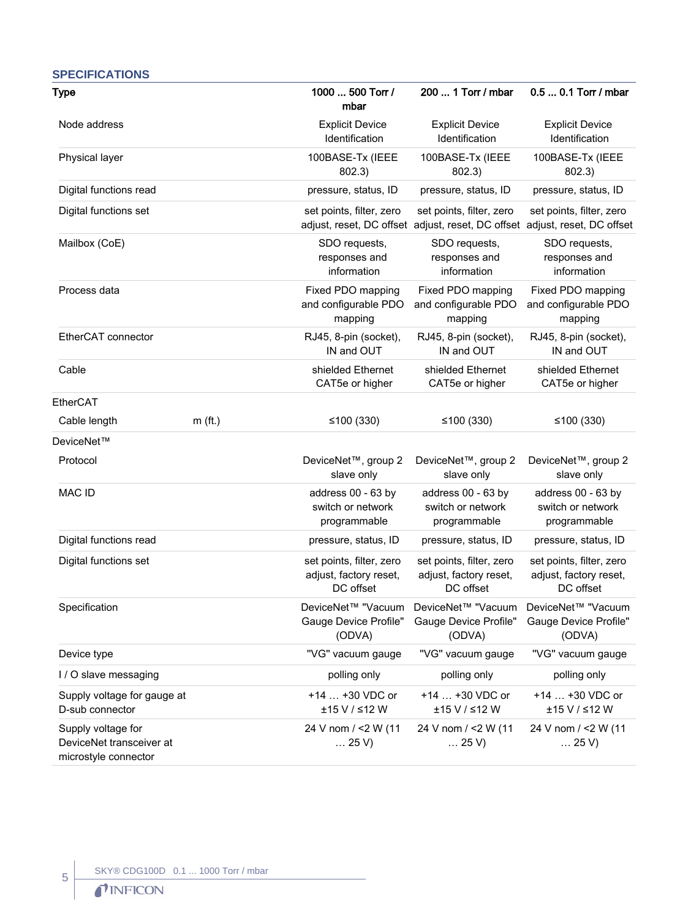| <b>SPECIFICATIONS</b>                                                  |           |                                                                 |                                                                                                        |                                                                 |
|------------------------------------------------------------------------|-----------|-----------------------------------------------------------------|--------------------------------------------------------------------------------------------------------|-----------------------------------------------------------------|
| <b>Type</b>                                                            |           | 1000  500 Torr /<br>mbar                                        | 200  1 Torr / mbar                                                                                     | 0.5  0.1 Torr / mbar                                            |
| Node address                                                           |           | <b>Explicit Device</b><br>Identification                        | <b>Explicit Device</b><br>Identification                                                               | <b>Explicit Device</b><br>Identification                        |
| Physical layer                                                         |           | 100BASE-Tx (IEEE<br>802.3)                                      | 100BASE-Tx (IEEE<br>802.3)                                                                             | 100BASE-Tx (IEEE<br>802.3)                                      |
| Digital functions read                                                 |           | pressure, status, ID                                            | pressure, status, ID                                                                                   | pressure, status, ID                                            |
| Digital functions set                                                  |           | set points, filter, zero                                        | set points, filter, zero<br>adjust, reset, DC offset adjust, reset, DC offset adjust, reset, DC offset | set points, filter, zero                                        |
| Mailbox (CoE)                                                          |           | SDO requests,<br>responses and<br>information                   | SDO requests,<br>responses and<br>information                                                          | SDO requests,<br>responses and<br>information                   |
| Process data                                                           |           | Fixed PDO mapping<br>and configurable PDO<br>mapping            | Fixed PDO mapping<br>and configurable PDO<br>mapping                                                   | Fixed PDO mapping<br>and configurable PDO<br>mapping            |
| EtherCAT connector                                                     |           | RJ45, 8-pin (socket),<br>IN and OUT                             | RJ45, 8-pin (socket),<br>IN and OUT                                                                    | RJ45, 8-pin (socket),<br>IN and OUT                             |
| Cable                                                                  |           | shielded Ethernet<br>CAT5e or higher                            | shielded Ethernet<br>CAT5e or higher                                                                   | shielded Ethernet<br>CAT5e or higher                            |
| EtherCAT                                                               |           |                                                                 |                                                                                                        |                                                                 |
| Cable length                                                           | $m$ (ft.) | ≤100 $(330)$                                                    | ≤100 $(330)$                                                                                           | ≤100 $(330)$                                                    |
| DeviceNet™                                                             |           |                                                                 |                                                                                                        |                                                                 |
| Protocol                                                               |           | DeviceNet <sup>™</sup> , group 2<br>slave only                  | DeviceNet™, group 2<br>slave only                                                                      | DeviceNet <sup>™</sup> , group 2<br>slave only                  |
| <b>MAC ID</b>                                                          |           | address 00 - 63 by<br>switch or network<br>programmable         | address 00 - 63 by<br>switch or network<br>programmable                                                | address 00 - 63 by<br>switch or network<br>programmable         |
| Digital functions read                                                 |           | pressure, status, ID                                            | pressure, status, ID                                                                                   | pressure, status, ID                                            |
| Digital functions set                                                  |           | set points, filter, zero<br>adjust, factory reset,<br>DC offset | set points, filter, zero<br>adjust, factory reset,<br>DC offset                                        | set points, filter, zero<br>adjust, factory reset,<br>DC offset |
| Specification                                                          |           | DeviceNet™ "Vacuum<br>Gauge Device Profile"<br>(ODVA)           | DeviceNet™ "Vacuum<br>Gauge Device Profile"<br>(ODVA)                                                  | DeviceNet™ "Vacuum<br>Gauge Device Profile"<br>(ODVA)           |
| Device type                                                            |           | "VG" vacuum gauge                                               | "VG" vacuum gauge                                                                                      | "VG" vacuum gauge                                               |
| I / O slave messaging                                                  |           | polling only                                                    | polling only                                                                                           | polling only                                                    |
| Supply voltage for gauge at<br>D-sub connector                         |           | +14  +30 VDC or<br>±15 V / ≤12 W                                | +14  +30 VDC or<br>±15 V / ≤12 W                                                                       | +14  +30 VDC or<br>±15 V / ≤12 W                                |
| Supply voltage for<br>DeviceNet transceiver at<br>microstyle connector |           | 24 V nom / <2 W (11<br>$\ldots$ 25 V)                           | 24 V nom / <2 W (11<br>$\ldots$ 25 V)                                                                  | 24 V nom / <2 W (11<br>$\dots$ 25 V)                            |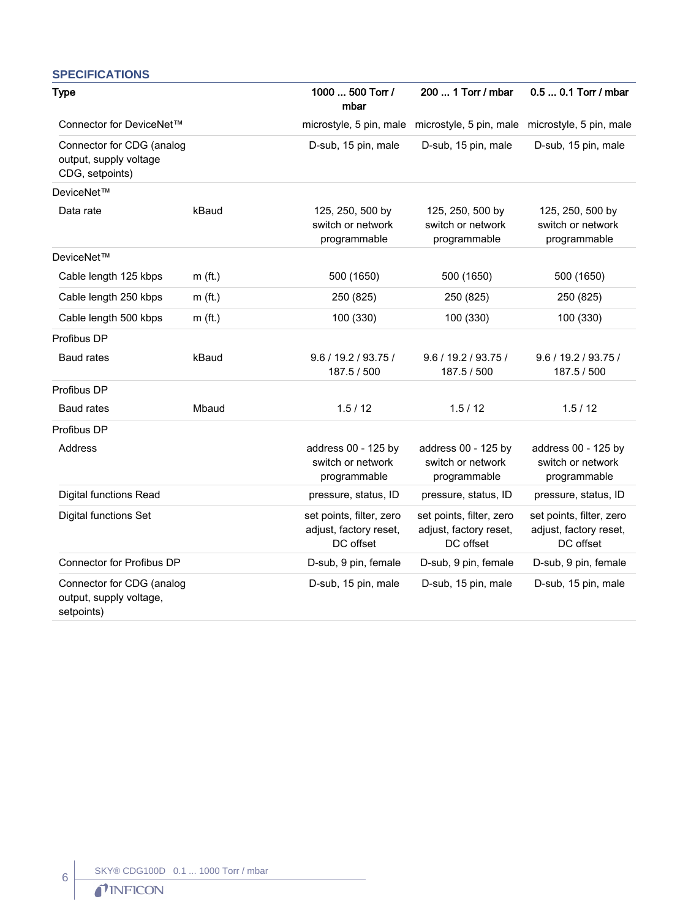#### **SPECIFICATIONS** Type 1000 ... 500 Torr / mbar 200 ... 1 Torr / mbar 0.5 ... 0.1 Torr / mbar Connector for DeviceNet™ microstyle, 5 pin, male microstyle, 5 pin, male microstyle, 5 pin, male Connector for CDG (analog output, supply voltage CDG, setpoints) D-sub, 15 pin, male D-sub, 15 pin, male D-sub, 15 pin, male DeviceNet™ Data rate **125, 250, 500 by kBaud** 125, 250, 500 by switch or network programmable 125, 250, 500 by switch or network programmable 125, 250, 500 by switch or network programmable DeviceNet™ Cable length 125 kbps m (ft.) 500 (1650) 500 (1650) 500 (1650) Cable length 250 kbps m (ft.) 250 (825) 250 (825) 250 (825) Cable length 500 kbps m (ft.) 100 (330) 100 (330) 100 (330) 100 (330) Profibus DP Baud rates kBaud 9.6 / 19.2 / 93.75 / 187.5 / 500 9.6 / 19.2 / 93.75 / 187.5 / 500 9.6 / 19.2 / 93.75 / 187.5 / 500 Profibus DP Baud rates Mbaud 1.5 / 12 1.5 / 12 Profibus DP Address **Address Address 00 - 125 by** switch or network programmable address 00 - 125 by switch or network programmable address 00 - 125 by switch or network programmable Digital functions Read pressure, status, ID pressure, status, ID pressure, status, ID Digital functions Set set points, filter, zero adjust, factory reset, DC offset set points, filter, zero adjust, factory reset, DC offset set points, filter, zero adjust, factory reset, DC offset Connector for Profibus DP D-sub, 9 pin, female D-sub, 9 pin, female D-sub, 9 pin, female Connector for CDG (analog output, supply voltage, setpoints) D-sub, 15 pin, male D-sub, 15 pin, male D-sub, 15 pin, male

6